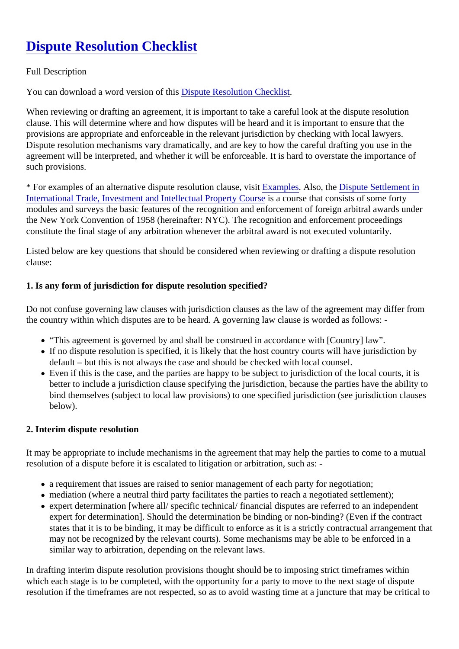# Dispute Resolution Checklist

#### Full Description

You can download a word version of this pute Resolution Checklist

When reviewing or drafting an agreement, it is important to take a careful look at the dispute resolution clause. This will determine where and how disputes will be heard and it is important to ensure that the provisions are appropriate and enforceable in the relevant jurisdiction by checking with local lawyers. Dispute resolution mechanisms vary dramatically, and are key to how the careful drafting you use in the agreement will be interpreted, and whether it will be enforceable. It is hard to overstate the importance of such provisions.

\* For examples of an alternative dispute resolution clause. Examples Also, th[e Dispute Settlement](https://ppp.worldbank.org/public-private-partnership/legislation-regulation/framework-assessment/legal-environment/dispute-resolution) in [International Trade, Investment and Intellectual Property C](https://ppp.worldbank.org/public-private-partnership/legislation-regulation/framework-assessment/legal-environment/dispute-resolution)os as course that consists of some forty modules and surveys the basic features of the recognition and enforcement of foreign arbitral awards under the New York Convention of 1958 (hereinafter: NYC). The recognition and enforcement proceedings constitute the final stage of any arbitration whenever the arbitral award is not executed voluntarily.

Listed below are key questions that should be considered when reviewing or drafting a dispute resolution clause:

1. Is any form of jurisdiction for dispute resolution specified?

Do not confuse governing law clauses with jurisdiction clauses as the law of the agreement may differ from the country within which disputes are to be heard. A governing law clause is worded as follows: -

- "This agreement is governed by and shall be construed in accordance with [Country] law".
- If no dispute resolution is specified, it is likely that the host country courts will have jurisdiction by default – but this is not always the case and should be checked with local counsel.
- Even if this is the case, and the parties are happy to be subject to jurisdiction of the local courts, it is better to include a jurisdiction clause specifying the jurisdiction, because the parties have the ability to bind themselves (subject to local law provisions) to one specified jurisdiction (see jurisdiction clauses below).
- 2. Interim dispute resolution

It may be appropriate to include mechanisms in the agreement that may help the parties to come to a mut resolution of a dispute before it is escalated to litigation or arbitration, such as: -

- a requirement that issues are raised to senior management of each party for negotiation;
- mediation (where a neutral third party facilitates the parties to reach a negotiated settlement);
- expert determination [where all/ specific technical/ financial disputes are referred to an independent expert for determination]. Should the determination be binding or non-binding? (Even if the contract states that it is to be binding, it may be difficult to enforce as it is a strictly contractual arrangement th may not be recognized by the relevant courts). Some mechanisms may be able to be enforced in a similar way to arbitration, depending on the relevant laws.

In drafting interim dispute resolution provisions thought should be to imposing strict timeframes within which each stage is to be completed, with the opportunity for a party to move to the next stage of dispute resolution if the timeframes are not respected, so as to avoid wasting time at a juncture that may be critical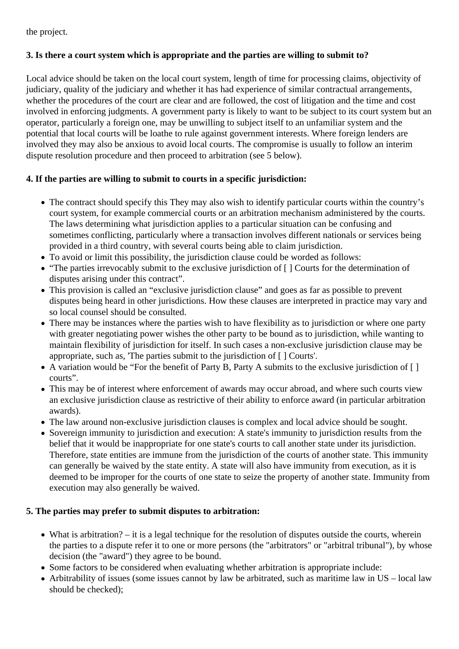the project.

### **3. Is there a court system which is appropriate and the parties are willing to submit to?**

Local advice should be taken on the local court system, length of time for processing claims, objectivity of judiciary, quality of the judiciary and whether it has had experience of similar contractual arrangements, whether the procedures of the court are clear and are followed, the cost of litigation and the time and cost involved in enforcing judgments. A government party is likely to want to be subject to its court system but an operator, particularly a foreign one, may be unwilling to subject itself to an unfamiliar system and the potential that local courts will be loathe to rule against government interests. Where foreign lenders are involved they may also be anxious to avoid local courts. The compromise is usually to follow an interim dispute resolution procedure and then proceed to arbitration (see 5 below).

### **4. If the parties are willing to submit to courts in a specific jurisdiction:**

- The contract should specify this They may also wish to identify particular courts within the country's court system, for example commercial courts or an arbitration mechanism administered by the courts. The laws determining what jurisdiction applies to a particular situation can be confusing and sometimes conflicting, particularly where a transaction involves different nationals or services being provided in a third country, with several courts being able to claim jurisdiction.
- To avoid or limit this possibility, the jurisdiction clause could be worded as follows:
- "The parties irrevocably submit to the exclusive jurisdiction of  $\lceil \cdot \rceil$  Courts for the determination of disputes arising under this contract".
- This provision is called an "exclusive jurisdiction clause" and goes as far as possible to prevent disputes being heard in other jurisdictions. How these clauses are interpreted in practice may vary and so local counsel should be consulted.
- There may be instances where the parties wish to have flexibility as to jurisdiction or where one party with greater negotiating power wishes the other party to be bound as to jurisdiction, while wanting to maintain flexibility of jurisdiction for itself. In such cases a non-exclusive jurisdiction clause may be appropriate, such as, 'The parties submit to the jurisdiction of [ ] Courts'.
- A variation would be "For the benefit of Party B, Party A submits to the exclusive jurisdiction of [ ] courts".
- This may be of interest where enforcement of awards may occur abroad, and where such courts view an exclusive jurisdiction clause as restrictive of their ability to enforce award (in particular arbitration awards).
- The law around non-exclusive jurisdiction clauses is complex and local advice should be sought.
- Sovereign immunity to jurisdiction and execution: A state's immunity to jurisdiction results from the belief that it would be inappropriate for one state's courts to call another state under its jurisdiction. Therefore, state entities are immune from the jurisdiction of the courts of another state. This immunity can generally be waived by the state entity. A state will also have immunity from execution, as it is deemed to be improper for the courts of one state to seize the property of another state. Immunity from execution may also generally be waived.

## **5. The parties may prefer to submit disputes to arbitration:**

- What is arbitration? it is a legal technique for the resolution of disputes outside the courts, wherein the parties to a dispute refer it to one or more persons (the "arbitrators" or "arbitral tribunal"), by whose decision (the "award") they agree to be bound.
- Some factors to be considered when evaluating whether arbitration is appropriate include:
- Arbitrability of issues (some issues cannot by law be arbitrated, such as maritime law in US local law should be checked);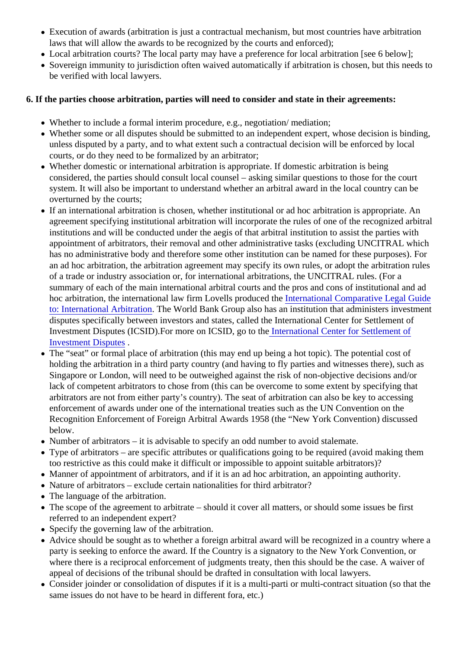- Execution of awards (arbitration is just a contractual mechanism, but most countries have arbitration laws that will allow the awards to be recognized by the courts and enforced);
- Local arbitration courts? The local party may have a preference for local arbitration [see 6 below];
- Sovereign immunity to jurisdiction often waived automatically if arbitration is chosen, but this needs to be verified with local lawyers.
- 6. If the parties choose arbitration, parties will need to consider and state in their agreements:
	- Whether to include a formal interim procedure, e.g., negotiation/ mediation;
	- Whether some or all disputes should be submitted to an independent expert, whose decision is binding, unless disputed by a party, and to what extent such a contractual decision will be enforced by local courts, or do they need to be formalized by an arbitrator;
	- Whether domestic or international arbitration is appropriate. If domestic arbitration is being considered, the parties should consult local counsel – asking similar questions to those for the court system. It will also be important to understand whether an arbitral award in the local country can be overturned by the courts;
	- If an international arbitration is chosen, whether institutional or ad hoc arbitration is appropriate. An agreement specifying institutional arbitration will incorporate the rules of one of the recognized arbitral institutions and will be conducted under the aegis of that arbitral institution to assist the parties with appointment of arbitrators, their removal and other administrative tasks (excluding UNCITRAL which has no administrative body and therefore some other institution can be named for these purposes). For an ad hoc arbitration, the arbitration agreement may specify its own rules, or adopt the arbitration rules of a trade or industry association or, for international arbitrations, the UNCITRAL rules. (For a summary of each of the main international arbitral courts and the pros and cons of institutional and a hoc arbitration, the international law firm Lovells produced the International Comparative Legal Guide [to: International Arbitratio](https://iclg.com/practice-areas/international-arbitration-laws-and-regulations)nThe World Bank Group also has an institution that administers investment disputes specifically between investors and states, called the International Center for Settlement of Investment Disputes (ICSID). For more on ICSID, go to **Ithernational Center for Settlement of** [Investment Dispute](https://ppp.worldbank.org/public-private-partnership/library/international-centre-for-settlement-of-investment-disputes)s .
	- The "seat" or formal place of arbitration (this may end up being a hot topic). The potential cost of holding the arbitration in a third party country (and having to fly parties and witnesses there), such as Singapore or London, will need to be outweighed against the risk of non-objective decisions and/or lack of competent arbitrators to chose from (this can be overcome to some extent by specifying that arbitrators are not from either party's country). The seat of arbitration can also be key to accessing enforcement of awards under one of the international treaties such as the UN Convention on the Recognition Enforcement of Foreign Arbitral Awards 1958 (the "New York Convention) discussed below.
	- Number of arbitrators it is advisable to specify an odd number to avoid stalemate.
	- Type of arbitrators are specific attributes or qualifications going to be required (avoid making them too restrictive as this could make it difficult or impossible to appoint suitable arbitrators)?
	- Manner of appointment of arbitrators, and if it is an ad hoc arbitration, an appointing authority.
	- Nature of arbitrators exclude certain nationalities for third arbitrator?
	- The language of the arbitration.
	- The scope of the agreement to arbitrate should it cover all matters, or should some issues be first referred to an independent expert?
	- Specify the governing law of the arbitration.
	- Advice should be sought as to whether a foreign arbitral award will be recognized in a country where party is seeking to enforce the award. If the Country is a signatory to the New York Convention, or where there is a reciprocal enforcement of judgments treaty, then this should be the case. A waiver of appeal of decisions of the tribunal should be drafted in consultation with local lawyers.
	- Consider joinder or consolidation of disputes if it is a multi-parti or multi-contract situation (so that the same issues do not have to be heard in different fora, etc.)